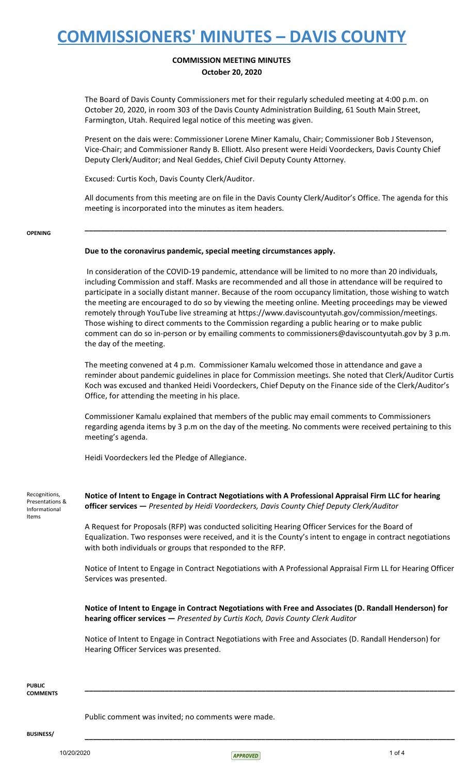### **COMMISSION MEETING MINUTES October 20, 2020**

The Board of Davis County Commissioners met for their regularly scheduled meeting at 4:00 p.m. on October 20, 2020, in room 303 of the Davis County Administration Building, 61 South Main Street, Farmington, Utah. Required legal notice of this meeting was given.

Present on the dais were: Commissioner Lorene Miner Kamalu, Chair; Commissioner Bob J Stevenson, Vice-Chair; and Commissioner Randy B. Elliott. Also present were Heidi Voordeckers, Davis County Chief Deputy Clerk/Auditor; and Neal Geddes, Chief Civil Deputy County Attorney.

Excused: Curtis Koch, Davis County Clerk/Auditor.

All documents from this meeting are on file in the Davis County Clerk/Auditor's Office. The agenda for this meeting is incorporated into the minutes as item headers.

**\_\_\_\_\_\_\_\_\_\_\_\_\_\_\_\_\_\_\_\_\_\_\_\_\_\_\_\_\_\_\_\_\_\_\_\_\_\_\_\_\_\_\_\_\_\_\_\_\_\_\_\_\_\_\_\_\_\_\_\_\_\_\_\_\_\_\_\_\_\_\_\_\_\_\_\_\_\_\_\_\_\_\_\_\_\_**

#### **OPENING**

### **Due to the coronavirus pandemic, special meeting circumstances apply.**

In consideration of the COVID-19 pandemic, attendance will be limited to no more than 20 individuals, including Commission and staff. Masks are recommended and all those in attendance will be required to participate in a socially distant manner. Because of the room occupancy limitation, those wishing to watch the meeting are encouraged to do so by viewing the meeting online. Meeting proceedings may be viewed remotely through YouTube live streaming at https://www.daviscountyutah.gov/commission/meetings. Those wishing to direct comments to the Commission regarding a public hearing or to make public comment can do so in-person or by emailing comments to commissioners@daviscountyutah.gov by 3 p.m. the day of the meeting.

The meeting convened at 4 p.m. Commissioner Kamalu welcomed those in attendance and gave a reminder about pandemic guidelines in place for Commission meetings. She noted that Clerk/Auditor Curtis Koch was excused and thanked Heidi Voordeckers, Chief Deputy on the Finance side of the Clerk/Auditor's Office, for attending the meeting in his place.

Commissioner Kamalu explained that members of the public may email comments to Commissioners regarding agenda items by 3 p.m on the day of the meeting. No comments were received pertaining to this meeting's agenda.

Heidi Voordeckers led the Pledge of Allegiance.

Recognitions, Presentations & Informational Items

**Notice of Intent to Engage in Contract Negotiations with A Professional Appraisal Firm LLC for hearing officer services —** *Presented by Heidi Voordeckers, Davis County Chief Deputy Clerk/Auditor*

A Request for Proposals (RFP) was conducted soliciting Hearing Officer Services for the Board of Equalization. Two responses were received, and it is the County's intent to engage in contract negotiations with both individuals or groups that responded to the RFP.

Notice of Intent to Engage in Contract Negotiations with A Professional Appraisal Firm LL for Hearing Officer Services was presented.

**Notice of Intent to Engage in Contract Negotiations with Free and Associates (D. Randall Henderson) for hearing officer services —** *Presented by Curtis Koch, Davis County Clerk Auditor*

Notice of Intent to Engage in Contract Negotiations with Free and Associates (D. Randall Henderson) for Hearing Officer Services was presented.

**\_\_\_\_\_\_\_\_\_\_\_\_\_\_\_\_\_\_\_\_\_\_\_\_\_\_\_\_\_\_\_\_\_\_\_\_\_\_\_\_\_\_\_\_\_\_\_\_\_\_\_\_\_\_\_\_\_\_\_\_\_\_\_\_\_\_\_\_\_\_\_\_\_\_\_\_\_\_\_\_\_\_\_\_\_\_\_\_**

#### **PUBLIC COMMENTS**

Public comment was invited; no comments were made.

**BUSINESS/ \_\_\_\_\_\_\_\_\_\_\_\_\_\_\_\_\_\_\_\_\_\_\_\_\_\_\_\_\_\_\_\_\_\_\_\_\_\_\_\_\_\_\_\_\_\_\_\_\_\_\_\_\_\_\_\_\_\_\_\_\_\_\_\_\_\_\_\_\_\_\_\_\_\_\_\_\_\_\_\_\_\_\_\_\_\_\_\_**

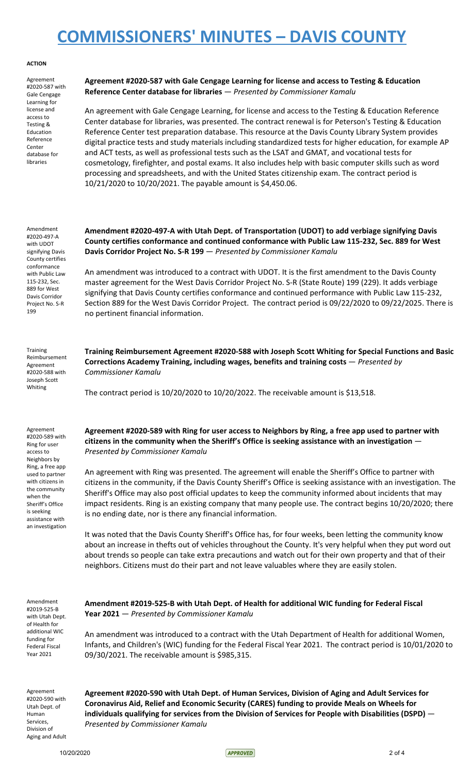#### **ACTION**

Agreement #2020-587 with Gale Cengage Learning for license and access to Testing & Education Reference Center database for libraries

**Agreement #2020-587 with Gale Cengage Learning for license and access to Testing & Education Reference Center database for libraries** — *Presented by Commissioner Kamalu*

An agreement with Gale Cengage Learning, for license and access to the Testing & Education Reference Center database for libraries, was presented. The contract renewal is for Peterson's Testing & Education Reference Center test preparation database. This resource at the Davis County Library System provides digital practice tests and study materials including standardized tests for higher education, for example AP and ACT tests, as well as professional tests such as the LSAT and GMAT, and vocational tests for cosmetology, firefighter, and postal exams. It also includes help with basic computer skills such as word processing and spreadsheets, and with the United States citizenship exam. The contract period is 10/21/2020 to 10/20/2021. The payable amount is \$4,450.06.

Amendment #2020-497-A with UDOT signifying Davis County certifies conformance with Public Law 115-232, Sec. 889 for West Davis Corridor Project No. S-R 199

**Amendment #2020-497-A with Utah Dept. of Transportation (UDOT) to add verbiage signifying Davis County certifies conformance and continued conformance with Public Law 115-232, Sec. 889 for West Davis Corridor Project No. S-R 199** — *Presented by Commissioner Kamalu*

An amendment was introduced to a contract with UDOT. It is the first amendment to the Davis County master agreement for the West Davis Corridor Project No. S-R (State Route) 199 (229). It adds verbiage signifying that Davis County certifies conformance and continued performance with Public Law 115-232, Section 889 for the West Davis Corridor Project. The contract period is 09/22/2020 to 09/22/2025. There is no pertinent financial information.

**Training** Reimbursement Agreement #2020-588 with Joseph Scott Whiting

Agreement #2020-589 with Ring for user access to Neighbors by Ring, a free app used to partner with citizens in the community when the Sheriff's Office is seeking assistance with an investigation **Training Reimbursement Agreement #2020-588 with Joseph Scott Whiting for Special Functions and Basic Corrections Academy Training, including wages, benefits and training costs** — *Presented by Commissioner Kamalu*

The contract period is 10/20/2020 to 10/20/2022. The receivable amount is \$13,518.

Agreement #2020-589 with Ring for user access to Neighbors by Ring, a free app used to partner with **citizens in the community when the Sheriff's Office is seeking assistance with an investigation** — *Presented by Commissioner Kamalu*

An agreement with Ring was presented. The agreement will enable the Sheriff's Office to partner with citizens in the community, if the Davis County Sheriff's Office is seeking assistance with an investigation. The Sheriff's Office may also post official updates to keep the community informed about incidents that may impact residents. Ring is an existing company that many people use. The contract begins 10/20/2020; there is no ending date, nor is there any financial information.

It was noted that the Davis County Sheriff's Office has, for four weeks, been letting the community know about an increase in thefts out of vehicles throughout the County. It's very helpful when they put word out about trends so people can take extra precautions and watch out for their own property and that of their neighbors. Citizens must do their part and not leave valuables where they are easily stolen.

Amendment #2019-525-B with Utah Dept. of Health for additional WIC funding for Federal Fiscal Year 2021

**Amendment #2019-525-B with Utah Dept. of Health for additional WIC funding for Federal Fiscal Year 2021** — *Presented by Commissioner Kamalu*

An amendment was introduced to a contract with the Utah Department of Health for additional Women, Infants, and Children's (WIC) funding for the Federal Fiscal Year 2021. The contract period is 10/01/2020 to 09/30/2021. The receivable amount is \$985,315.

Agreement #2020-590 with Utah Dept. of Human Services, Division of Aging and Adult **Agreement #2020-590 with Utah Dept. of Human Services, Division of Aging and Adult Services for Coronavirus Aid, Relief and Economic Security (CARES) funding to provide Meals on Wheels for individuals qualifying for services from the Division of Services for People with Disabilities (DSPD)** — *Presented by Commissioner Kamalu*

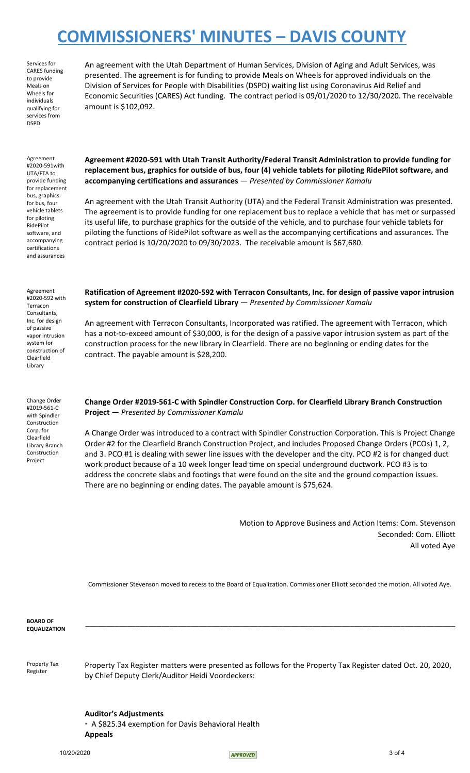Services for CARES funding to provide Meals on Wheels for individuals qualifying for services from DSPD

An agreement with the Utah Department of Human Services, Division of Aging and Adult Services, was presented. The agreement is for funding to provide Meals on Wheels for approved individuals on the Division of Services for People with Disabilities (DSPD) waiting list using Coronavirus Aid Relief and Economic Securities (CARES) Act funding. The contract period is 09/01/2020 to 12/30/2020. The receivable amount is \$102,092.

Agreement #2020-591with UTA/FTA to provide funding for replacement bus, graphics for bus, four vehicle tablets for piloting RidePilot software, and accompanying certifications and assurances

**Agreement #2020-591 with Utah Transit Authority/Federal Transit Administration to provide funding for replacement bus, graphics for outside of bus, four (4) vehicle tablets for piloting RidePilot software, and accompanying certifications and assurances** — *Presented by Commissioner Kamalu*

An agreement with the Utah Transit Authority (UTA) and the Federal Transit Administration was presented. The agreement is to provide funding for one replacement bus to replace a vehicle that has met or surpassed its useful life, to purchase graphics for the outside of the vehicle, and to purchase four vehicle tablets for piloting the functions of RidePilot software as well as the accompanying certifications and assurances. The contract period is 10/20/2020 to 09/30/2023. The receivable amount is \$67,680.

Agreement #2020-592 with Terracon Consultants, Inc. for design of passive vapor intrusion system for construction of Clearfield Library

Change Order #2019-561-C with Spindler Construction Corp. for Clearfield Library Branch Construction Project

**Ratification of Agreement #2020-592 with Terracon Consultants, Inc. for design of passive vapor intrusion system for construction of Clearfield Library** — *Presented by Commissioner Kamalu*

An agreement with Terracon Consultants, Incorporated was ratified. The agreement with Terracon, which has a not-to-exceed amount of \$30,000, is for the design of a passive vapor intrusion system as part of the construction process for the new library in Clearfield. There are no beginning or ending dates for the contract. The payable amount is \$28,200.

**Change Order #2019-561-C with Spindler Construction Corp. for Clearfield Library Branch Construction Project** — *Presented by Commissioner Kamalu*

A Change Order was introduced to a contract with Spindler Construction Corporation. This is Project Change Order #2 for the Clearfield Branch Construction Project, and includes Proposed Change Orders (PCOs) 1, 2, and 3. PCO #1 is dealing with sewer line issues with the developer and the city. PCO #2 is for changed duct work product because of a 10 week longer lead time on special underground ductwork. PCO #3 is to address the concrete slabs and footings that were found on the site and the ground compaction issues. There are no beginning or ending dates. The payable amount is \$75,624.

> Motion to Approve Business and Action Items: Com. Stevenson Seconded: Com. Elliott All voted Aye

Commissioner Stevenson moved to recess to the Board of Equalization. Commissioner Elliott seconded the motion. All voted Aye.

**\_\_\_\_\_\_\_\_\_\_\_\_\_\_\_\_\_\_\_\_\_\_\_\_\_\_\_\_\_\_\_\_\_\_\_\_\_\_\_\_\_\_\_\_\_\_\_\_\_\_\_\_\_\_\_\_\_\_\_\_\_\_\_\_\_\_\_\_\_\_\_\_\_\_\_\_\_\_\_\_\_\_\_\_\_\_\_\_**

**BOARD OF EQUALIZATION**

Property Tax Register

Property Tax Register matters were presented as follows for the Property Tax Register dated Oct. 20, 2020, by Chief Deputy Clerk/Auditor Heidi Voordeckers:

**Auditor's Adjustments** • A \$825.34 exemption for Davis Behavioral Health **Appeals**